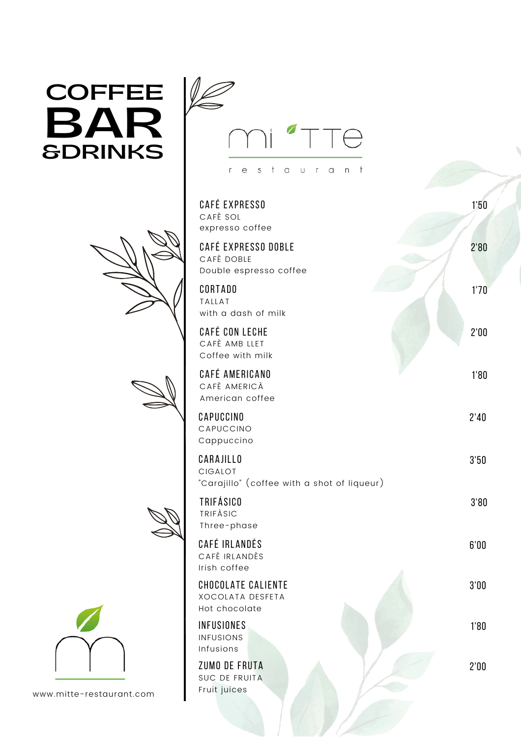## **BAR COFFEE &DRINKS**









www.mitte-restaurant.com



| <b>CAFÉ EXPRESSO</b><br>CAFÈ SOL<br>expresso coffee                        | 1'50 |
|----------------------------------------------------------------------------|------|
| CAFÉ EXPRESSO DOBLE<br>CAFÈ DOBLE<br>Double espresso coffee                | 2'80 |
| <b>CORTADO</b><br><b>TALLAT</b><br>with a dash of milk                     | 1'70 |
| <b>CAFÉ CON LECHE</b><br>CAFÈ AMB LLET<br>Coffee with milk                 | 2'00 |
| <b>CAFÉ AMERICANO</b><br>CAFÈ AMERICÀ<br>American coffee                   | 1'80 |
| CAPUCCINO<br>CAPUCCINO<br>Cappuccino                                       | 2'40 |
| CARAJILLO<br><b>CIGALOT</b><br>"Carajillo" (coffee with a shot of liqueur) | 3'50 |
| <b>TRIFÁSICO</b><br>TRIFÀSIC<br>Three-phase                                | 3'80 |
| CAFÉ IRLANDÉS<br>CAFÈ IRLANDÈS<br>Irish coffee                             | 6'00 |
| <b>CHOCOLATE CALIENTE</b><br><b>XOCOLATA DESFETA</b><br>Hot chocolate      | 3'00 |
| INFUSIONES<br><b>INFUSIONS</b><br>Infusions                                | 1'80 |
| ZUMO DE FRUTA<br>SUC DE FRUITA<br>Fruit juices                             | 2'00 |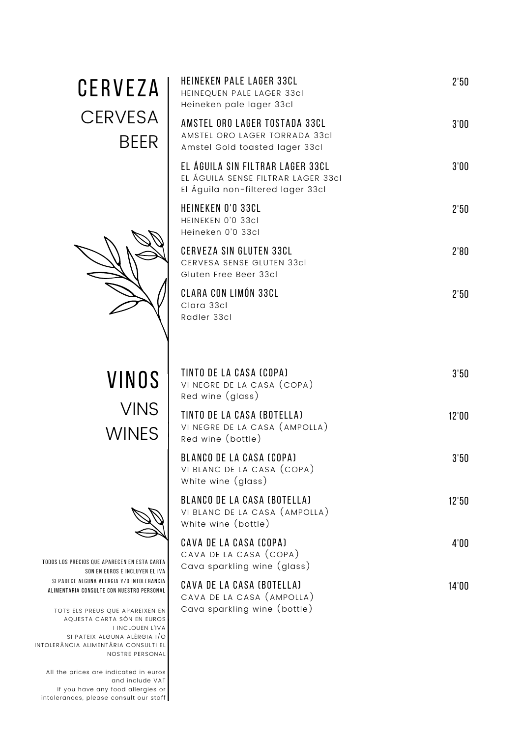| CERVEZA<br><b>CERVESA</b><br><b>BEER</b>                                                                                                                                                                                                                                | <b>HEINEKEN PALE LAGER 33CL</b><br>HEINEQUEN PALE LAGER 33cl<br>Heineken pale lager 33cl                    | 2'50  |
|-------------------------------------------------------------------------------------------------------------------------------------------------------------------------------------------------------------------------------------------------------------------------|-------------------------------------------------------------------------------------------------------------|-------|
|                                                                                                                                                                                                                                                                         | AMSTEL ORO LAGER TOSTADA 33CL<br>AMSTEL ORO LAGER TORRADA 33cl<br>Amstel Gold toasted lager 33cl            | 3'00  |
|                                                                                                                                                                                                                                                                         | EL ÁGUILA SIN FILTRAR LAGER 33CL<br>EL ÁGUILA SENSE FILTRAR LAGER 33cl<br>El Águila non-filtered lager 33cl | 3'00  |
|                                                                                                                                                                                                                                                                         | <b>HEINEKEN 0'0 33CL</b><br>HEINEKEN 0'0 33cl<br>Heineken 0'0 33cl                                          | 2'50  |
|                                                                                                                                                                                                                                                                         | <b>CERVEZA SIN GLUTEN 33CL</b><br>CERVESA SENSE GLUTEN 33cl<br>Gluten Free Beer 33cl                        | 2'80  |
|                                                                                                                                                                                                                                                                         | <b>CLARA CON LIMÓN 33CL</b><br>Clara 33cl<br>Radler 33cl                                                    | 2'50  |
| VINOS<br><b>VINS</b><br><b>WINES</b><br>ECIOS QUE APARECEN EN ESTA CARTA<br>SON EN EUROS E INCLUYEN EL IVA<br>: ALGUNA ALERGIA Y/O INTOLERANCIA<br>IA CONSULTE CON NUESTRO PERSONAL<br>LS PREUS QUE APAREIXEN EN<br>JESTA CARTA SÓN EN EUROS<br><b>I INCLOUEN L'IVA</b> | TINTO DE LA CASA (COPA)<br>VI NEGRE DE LA CASA (COPA)<br>Red wine (glass)                                   | 3'50  |
|                                                                                                                                                                                                                                                                         | TINTO DE LA CASA (BOTELLA)<br>VI NEGRE DE LA CASA (AMPOLLA)<br>Red wine (bottle)                            | 12'00 |
|                                                                                                                                                                                                                                                                         | <b>BLANCO DE LA CASA (COPA)</b><br>VI BLANC DE LA CASA (COPA)<br>White wine (glass)                         | 3'50  |
|                                                                                                                                                                                                                                                                         | <b>BLANCO DE LA CASA (BOTELLA)</b><br>VI BLANC DE LA CASA (AMPOLLA)<br>White wine (bottle)                  | 12'50 |
|                                                                                                                                                                                                                                                                         | CAVA DE LA CASA (COPA)<br>CAVA DE LA CASA (COPA)<br>Cava sparkling wine (glass)                             | 4'00  |
|                                                                                                                                                                                                                                                                         | CAVA DE LA CASA (BOTELLA)<br>CAVA DE LA CASA (AMPOLLA)<br>Cava sparkling wine (bottle)                      | 14'00 |



TODOS LOS PRECIOS QUE AP. SON EN EU SI PADECE ALGUNA ALER ALIMENTARIA CONSULTE C

TOTS ELS PREUS C AQUESTA CART I INCLOUEN L'IVA SI PATEIX ALGUNA ALÈRGIA I/O INTOLERÀNCIA ALIMENTÀRIA CONSULTI EL NOSTRE PERSONAL

All the prices are indicated in euros and include VAT If you have any food allergies or intolerances, please consult our staff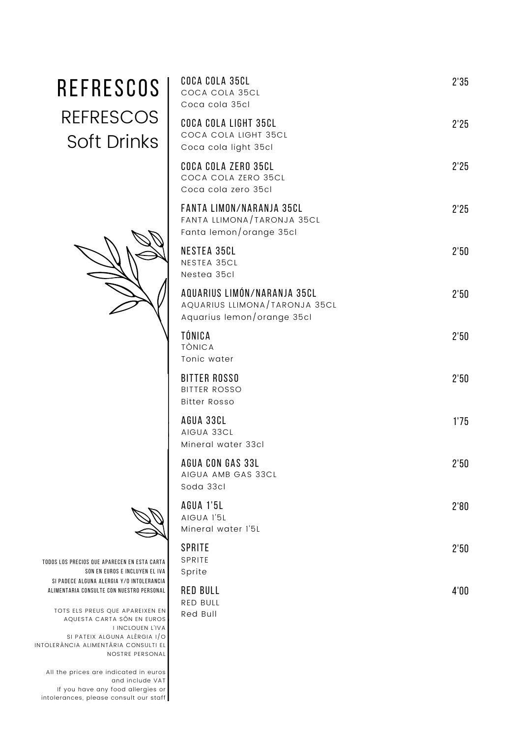| REFRESCOS                                                                                                                                           | COCA COLA 35CL<br>COCA COLA 35CL<br>Coca cola 35cl                                         | 2'35 |
|-----------------------------------------------------------------------------------------------------------------------------------------------------|--------------------------------------------------------------------------------------------|------|
| <b>REFRESCOS</b><br><b>Soft Drinks</b>                                                                                                              | COCA COLA LIGHT 35CL<br>COCA COLA LIGHT 35CL<br>Coca cola light 35cl                       | 2'25 |
|                                                                                                                                                     | COCA COLA ZERO 35CL<br>COCA COLA ZERO 35CL<br>Coca cola zero 35cl                          | 2'25 |
|                                                                                                                                                     | FANTA LIMON/NARANJA 35CL<br>FANTA LLIMONA/TARONJA 35CL<br>Fanta lemon/orange 35cl          | 2'25 |
|                                                                                                                                                     | <b>NESTEA 35CL</b><br>NESTEA 35CL<br>Nestea 35cl                                           | 2'50 |
|                                                                                                                                                     | AQUARIUS LIMÓN/NARANJA 35CL<br>AQUARIUS LLIMONA/TARONJA 35CL<br>Aquarius lemon/orange 35cl | 2'50 |
|                                                                                                                                                     | TÓNICA<br><b>TÒNICA</b><br>Tonic water                                                     | 2'50 |
|                                                                                                                                                     | <b>BITTER ROSSO</b><br><b>BITTER ROSSO</b><br><b>Bitter Rosso</b>                          | 2'50 |
|                                                                                                                                                     | AGUA 33CL<br>AIGUA 33CL<br>Mineral water 33cl                                              | 1'75 |
|                                                                                                                                                     | AGUA CON GAS 33L<br>AIGUA AMB GAS 33CL<br>Soda 33cl                                        | 2'50 |
|                                                                                                                                                     | <b>AGUA 1'5L</b><br>AIGUA l'5L<br>Mineral water I'5L                                       | 2'80 |
| S LOS PRECIOS QUE APARECEN EN ESTA CARTA<br>SON EN EUROS E INCLUYEN EL IVA                                                                          | <b>SPRITE</b><br>SPRITE<br>Sprite                                                          | 2'50 |
| I PADECE ALGUNA ALERGIA Y/O INTOLERANCIA<br>MENTARIA CONSULTE CON NUESTRO PERSONAL<br>TOTS ELS PREUS QUE APAREIXEN EN<br>AQUESTA CARTA SÓN EN EUROS | <b>RED BULL</b><br>RED BULL<br>Red Bull                                                    | 4'00 |
| <b>I INCLOUEN L'IVA</b><br>SI PATEIX ALGUNA ALÈRGIA I/O                                                                                             |                                                                                            |      |





TODOS LOS PRECIOS QUE APARECEN SON EN EUROS E SI PADECE ALGUNA ALERGIA Y/ ALIMENTARIA CONSULTE CON NUE

TOTS ELS PREUS QUE A AQUESTA CARTA SÓ I INC SI PATEIX ALGUNA INTOLERÀNCIA ALIMENTÀRIA CONSULTI EL NOSTRE PERSONAL

All the prices are indicated in euros and include VAT If you have any food allergies or intolerances, please consult our staff